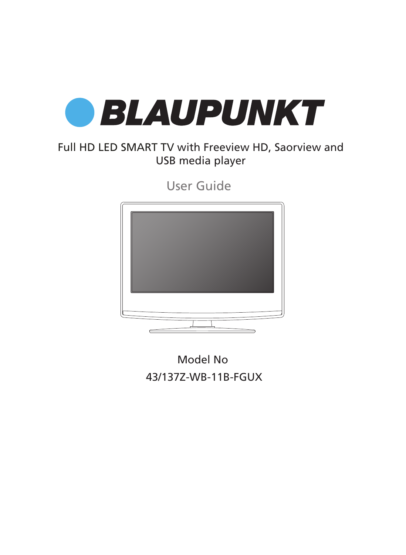

## Full HD LED SMART TV with Freeview HD, Saorview and USB media player

User Guide



Model No 43/137Z-WB-11B-FGUX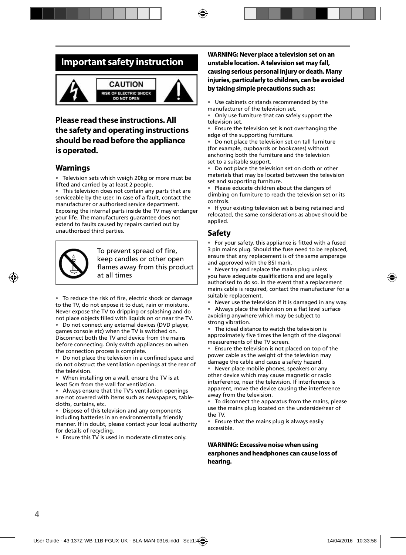## **Important safety instruction**



### **CAUTION RISK OF ELECTRIC SHOCK DO NOT OPEN**



### **Please read these instructions. All the safety and operating instructions should be read before the appliance is operated.**

### **Warnings**

• Television sets which weigh 20kg or more must be lifted and carried by at least 2 people.

• This television does not contain any parts that are serviceable by the user. In case of a fault, contact the manufacturer or authorised service department. Exposing the internal parts inside the TV may endanger your life. The manufacturers guarantee does not extend to faults caused by repairs carried out by unauthorised third parties.



To prevent spread of fire, keep candles or other open flames away from this product at all times

• To reduce the risk of fire, electric shock or damage to the TV, do not expose it to dust, rain or moisture. Never expose the TV to dripping or splashing and do not place objects filled with liquids on or near the TV.

• Do not connect any external devices (DVD player, games console etc) when the TV is switched on. Disconnect both the TV and device from the mains before connecting. Only switch appliances on when the connection process is complete.

• Do not place the television in a confined space and do not obstruct the ventilation openings at the rear of the television.

• When installing on a wall, ensure the TV is at least 5cm from the wall for ventilation.

• Always ensure that the TV's ventilation openings are not covered with items such as newspapers, tablecloths, curtains, etc.

• Dispose of this television and any components including batteries in an environmentally friendly manner. If in doubt, please contact your local authority for details of recycling.

• Ensure this TV is used in moderate climates only.

### **WARNING: Never place a television set on an unstable location. A television set may fall, causing serious personal injury or death. Many injuries, particularly to children, can be avoided by taking simple precautions such as:**

Use cabinets or stands recommended by the manufacturer of the television set.

• Only use furniture that can safely support the television set.

• Ensure the television set is not overhanging the edge of the supporting furniture.

• Do not place the television set on tall furniture (for example, cupboards or bookcases) without anchoring both the furniture and the television set to a suitable support.

Do not place the television set on cloth or other materials that may be located between the television set and supporting furniture.

Please educate children about the dangers of climbing on furniture to reach the television set or its controls.

If your existing television set is being retained and relocated, the same considerations as above should be applied.

## **Safety**

For your safety, this appliance is fitted with a fused 3 pin mains plug. Should the fuse need to be replaced, ensure that any replacement is of the same amperage and approved with the BSI mark.

• Never try and replace the mains plug unless you have adequate qualifications and are legally authorised to do so. In the event that a replacement mains cable is required, contact the manufacturer for a suitable replacement.

Never use the television if it is damaged in any way.

Always place the television on a flat level surface avoiding anywhere which may be subject to strong vibration.

The ideal distance to watch the television is approximately five times the length of the diagonal measurements of the TV screen.

• Ensure the television is not placed on top of the power cable as the weight of the television may damage the cable and cause a safety hazard.

• Never place mobile phones, speakers or any other device which may cause magnetic or radio interference, near the television. If interference is apparent, move the device causing the interference away from the television.

• To disconnect the apparatus from the mains, please use the mains plug located on the underside/rear of the TV.

• Ensure that the mains plug is always easily accessible.

### **WARNING: Excessive noise when using earphones and headphones can cause loss of hearing.**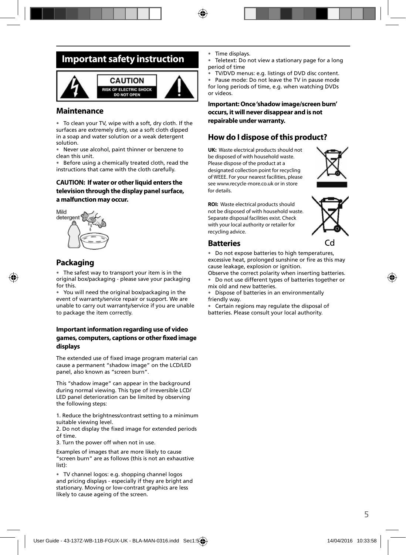## **Important safety instruction**



### **Maintenance**

• To clean your TV, wipe with a soft, dry cloth. If the surfaces are extremely dirty, use a soft cloth dipped in a soap and water solution or a weak detergent solution.

• Never use alcohol, paint thinner or benzene to clean this unit.

• Before using a chemically treated cloth, read the instructions that came with the cloth carefully.

### **CAUTION: If water or other liquid enters the television through the display panel surface, a malfunction may occur.**



## **Packaging**

The safest way to transport your item is in the original box/packaging - please save your packaging for this.

• You will need the original box/packaging in the event of warranty/service repair or support. We are unable to carry out warranty/service if you are unable to package the item correctly.

### **Important information regarding use of video**  games, computers, captions or other fixed image **displays**

The extended use of fixed image program material can cause a permanent "shadow image" on the LCD/LED panel, also known as "screen burn".

This "shadow image" can appear in the background during normal viewing. This type of irreversible LCD/ LED panel deterioration can be limited by observing the following steps:

1. Reduce the brightness/contrast setting to a minimum suitable viewing level.

2. Do not display the fixed image for extended periods of time.

3. Turn the power off when not in use.

Examples of images that are more likely to cause "screen burn" are as follows (this is not an exhaustive list):

• TV channel logos: e.g. shopping channel logos and pricing displays - especially if they are bright and stationary. Moving or low-contrast graphics are less likely to cause ageing of the screen.

- Time displays.
- Teletext: Do not view a stationary page for a long period of time
- TV/DVD menus: e.g. listings of DVD disc content.

• Pause mode: Do not leave the TV in pause mode for long periods of time, e.g. when watching DVDs or videos.

**Important: Once 'shadow image/screen burn' occurs, it will never disappear and is not repairable under warranty.**

### **How do I dispose of this product?**

**UK:** Waste electrical products should not be disposed of with household waste. Please dispose of the product at a designated collection point for recycling of WEEE. For your nearest facilities, please see www.recycle-more.co.uk or in store for details.



**ROI:** Waste electrical products should not be disposed of with household waste. Separate disposal facilities exist. Check with your local authority or retailer for recycling advice.



### **Batteries**

• Do not expose batteries to high temperatures, excessive heat, prolonged sunshine or fire as this may cause leakage, explosion or ignition.

Observe the correct polarity when inserting batteries.

• Do not use different types of batteries together or mix old and new batteries.

• Dispose of batteries in an environmentally friendly way.

• Certain regions may regulate the disposal of batteries. Please consult your local authority.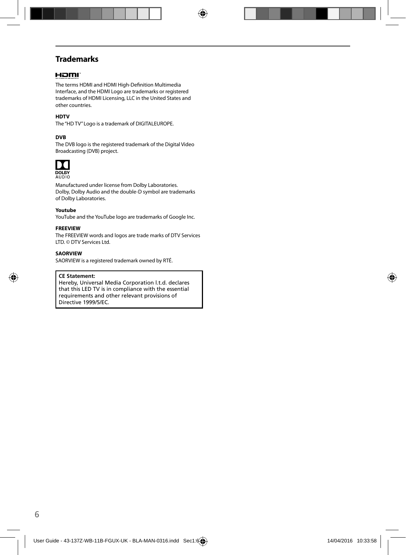## **Trademarks**

### Homr

The terms HDMI and HDMI High-Definition Multimedia Interface, and the HDMI Logo are trademarks or registered trademarks of HDMI Licensing, LLC in the United States and other countries.

### **HDTV**

The "HD TV" Logo is a trademark of DIGITALEUROPE.

### **DVB**

The DVB logo is the registered trademark of the Digital Video Broadcasting (DVB) project.



Manufactured under license from Dolby Laboratories. Dolby, Dolby Audio and the double-D symbol are trademarks of Dolby Laboratories.

#### **Youtube**

YouTube and the YouTube logo are trademarks of Google Inc.

#### **FREEVIEW**

The FREEVIEW words and logos are trade marks of DTV Services LTD. © DTV Services Ltd.

#### **SAORVIEW**

SAORVIEW is a registered trademark owned by RTÉ.

#### **CE Statement:**

Hereby, Universal Media Corporation l.t.d. declares that this LED TV is in compliance with the essential requirements and other relevant provisions of Directive 1999/5/EC.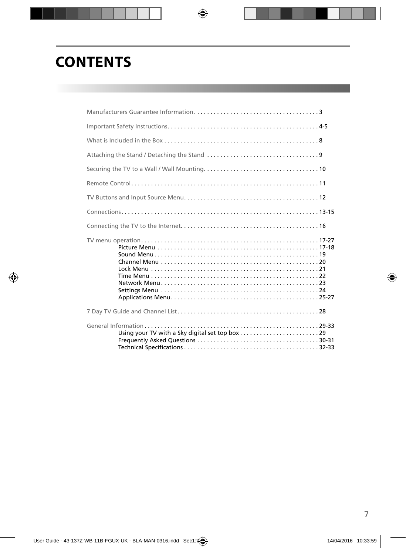# **CONTENTS**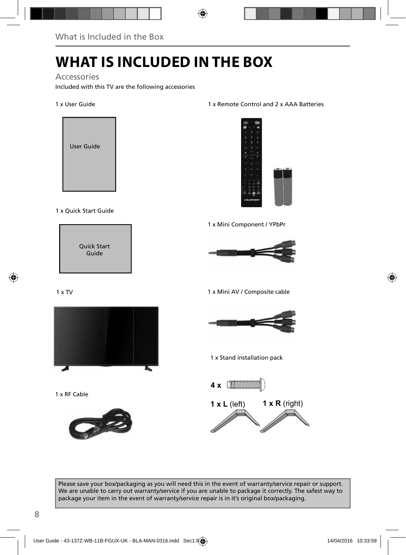# **WHAT IS INCLUDED IN THE BOX**

### Accessories

Included with this TV are the following accessories

### 1 x User Guide



### 1 x Quick Start Guide



### $1 \times TV$



1 x RF Cable



### 1 x Remote Control and 2 x AAA Batteries



1 x Mini Component / YPbPr



1 x Mini AV / Composite cable



1 x Stand installation pack



Please save your box/packaging as you will need this in the event of warranty/service repair or support. We are unable to carry out warranty/service if you are unable to package it correctly. The safest way to package your item in the event of warranty/service repair is in it's original box/packaging.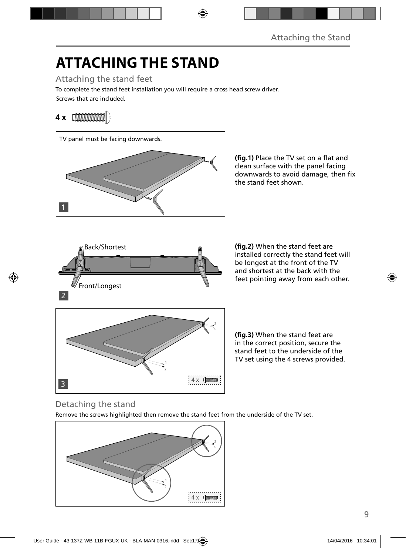# **ATTACHING THE STAND**

Attaching the stand feet

Screws that are included. To complete the stand feet installation you will require a cross head screw driver.

## **4 x**



(fig.1) Place the TV set on a flat and clean surface with the panel facing downwards to avoid damage, then fix the stand feet shown.

(fig.2) When the stand feet are installed correctly the stand feet will be longest at the front of the TV and shortest at the back with the feet pointing away from each other.

(fig.3) When the stand feet are in the correct position, secure the stand feet to the underside of the TV set using the 4 screws provided.

## Detaching the stand

Remove the screws highlighted then remove the stand feet from the underside of the TV set.

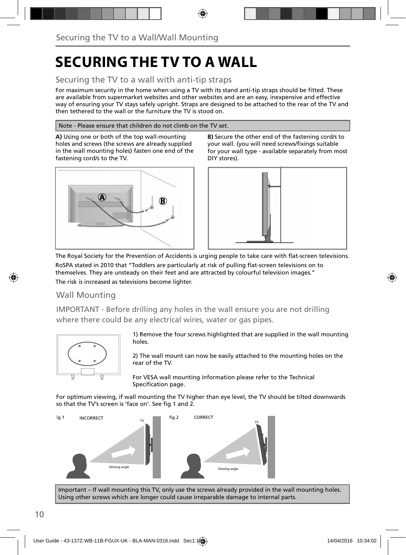# **SECURING THE TV TO A WALL**

## Securing the TV to a wall with anti-tip straps

For maximum security in the home when using a TV with its stand anti-tip straps should be fitted. These are available from supermarket websites and other websites and are an easy, inexpensive and effective way of ensuring your TV stays safely upright. Straps are designed to be attached to the rear of the TV and then tethered to the wall or the furniture the TV is stood on.

### Note - Please ensure that children do not climb on the TV set.

**A)** Using one or both of the top wall-mounting holes and screws (the screws are already supplied in the wall mounting holes) fasten one end of the fastening cord/s to the TV.







The Royal Society for the Prevention of Accidents is urging people to take care with flat-screen televisions. RoSPA stated in 2010 that "Toddlers are particularly at risk of pulling flat-screen televisions on to themselves. They are unsteady on their feet and are attracted by colourful television images." The risk is increased as televisions become lighter.

### Wall Mounting

IMPORTANT - Before drilling any holes in the wall ensure you are not drilling where there could be any electrical wires, water or gas pipes.



1) Remove the four screws highlighted that are supplied in the wall mounting holes.

2) The wall mount can now be easily attached to the mounting holes on the rear of the TV.

For VESA wall mounting information please refer to the Technical Specification page.

For optimum viewing, if wall mounting the TV higher than eye level, the TV should be tilted downwards so that the TV's screen is 'face on'. See fig 1 and 2.



Important – If wall mounting this TV, only use the screws already provided in the wall mounting holes. Using other screws which are longer could cause irreparable damage to internal parts.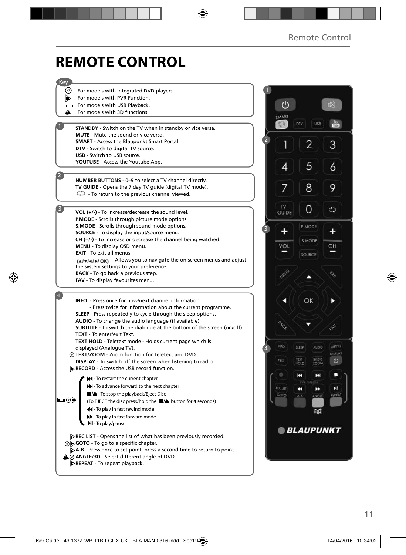# **REMOTE CONTROL**

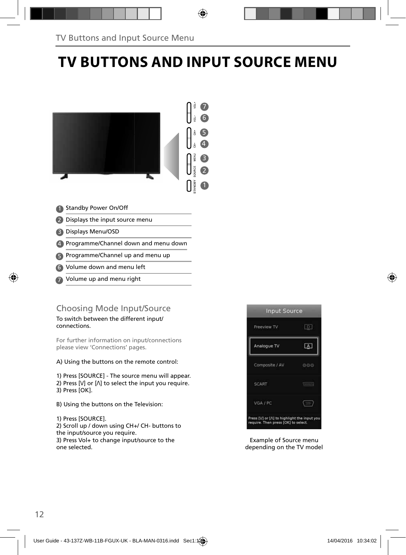# **TV BUTTONS AND INPUT SOURCE MENU**



- 
- 2 Displays the input source menu
- Displays Menu/OSD 3
- Programme/Channel down and menu down 4
- **B** Programme/Channel up and menu up
- Volume down and menu left 6
- Volume up and menu right 7

### Choosing Mode Input/Source

To switch between the different input/ connections.

For further information on input/connections please view 'Connections' pages.

A) Using the buttons on the remote control:

1) Press [SOURCE] - The source menu will appear. 2) Press  $[V]$  or  $[\Lambda]$  to select the input you require. 3) Press [OK].

- B) Using the buttons on the Television:
- 1) Press [SOURCE].

2) Scroll up / down using CH+/ CH- buttons to the input/source you require.

3) Press Vol+ to change input/source to the one selected.



Example of Source menu depending on the TV model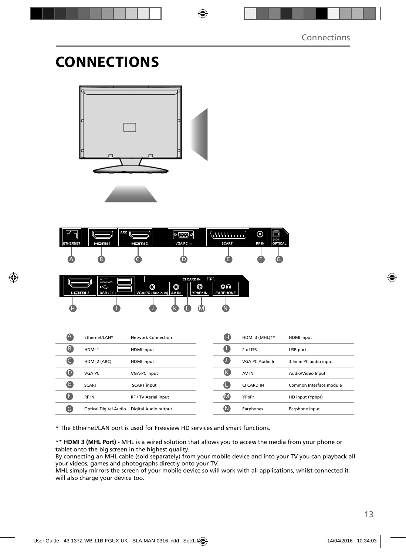# **CONNECTIONS**







| $\triangle$ | Fthernet/LAN*                | Network Connection   | O  | HDMI 3 (MHL)**  | HDMI input              |
|-------------|------------------------------|----------------------|----|-----------------|-------------------------|
| B           | HDMI <sub>1</sub>            | HDMI input           | u  | 2 x USB         | USB port                |
|             | HDMI 2 (ARC)                 | HDMI input           | C  | VGA PC Audio In | 3.5mm PC audio input    |
| O           | VGA PC                       | VGA-PC input         | (K | AV IN           | Audio/Video Input       |
| B           | <b>SCART</b>                 | <b>SCART</b> input   | Œ  | CI CARD IN      | Common Interface module |
| G           | RF IN                        | RF / TV Aerial Input | M  | YPbPr           | HD input (Ypbpr)        |
| G           | <b>Optical Digital Audio</b> | Digital Audio output | (N | Earphones       | Earphone Input          |
|             |                              |                      |    |                 |                         |

\* The Ethernet/LAN port is used for Freeview HD services and smart functions.

\*\* **HDMI 3 (MHL Port) -** MHL is a wired solution that allows you to access the media from your phone or tablet onto the big screen in the highest quality.

By connecting an MHL cable (sold separately) from your mobile device and into your TV you can playback all your videos, games and photographs directly onto your TV.

MHL simply mirrors the screen of your mobile device so will work with all applications, whilst connected it will also charge your device too.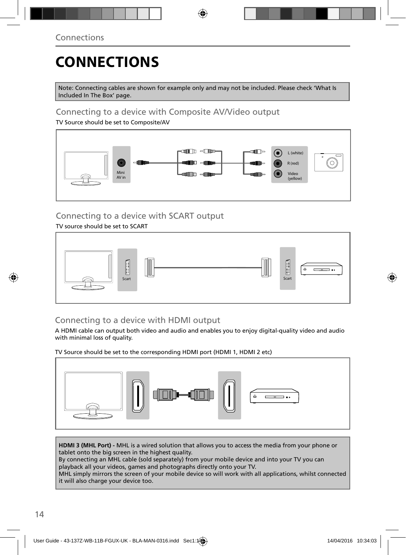# **CONNECTIONS**

Note: Connecting cables are shown for example only and may not be included. Please check 'What Is Included In The Box' page.

## Connecting to a device with Composite AV/Video output

TV Source should be set to Composite/AV



## Connecting to a device with SCART output

TV source should be set to SCART



## Connecting to a device with HDMI output

A HDMI cable can output both video and audio and enables you to enjoy digital-quality video and audio with minimal loss of quality.

TV Source should be set to the corresponding HDMI port (HDMI 1, HDMI 2 etc)



**HDMI 3 (MHL Port) -** MHL is a wired solution that allows you to access the media from your phone or tablet onto the big screen in the highest quality.

By connecting an MHL cable (sold separately) from your mobile device and into your TV you can playback all your videos, games and photographs directly onto your TV.

MHL simply mirrors the screen of your mobile device so will work with all applications, whilst connected it will also charge your device too.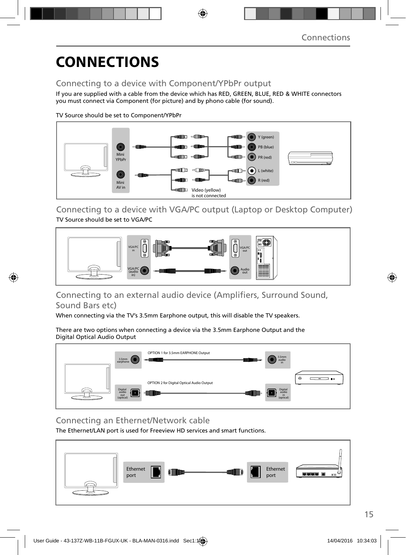# **CONNECTIONS**

## Connecting to a device with Component/YPbPr output

If you are supplied with a cable from the device which has RED, GREEN, BLUE, RED & WHITE connectors you must connect via Component (for picture) and by phono cable (for sound).

TV Source should be set to Component/YPbPr



Connecting to a device with VGA/PC output (Laptop or Desktop Computer) TV Source should be set to VGA/PC



### Connecting to an external audio device (Amplifiers, Surround Sound, Sound Bars etc)

When connecting via the TV's 3.5mm Earphone output, this will disable the TV speakers.

There are two options when connecting a device via the 3.5mm Earphone Output and the Digital Optical Audio Output



## Connecting an Ethernet/Network cable

The Ethernet/LAN port is used for Freeview HD services and smart functions.

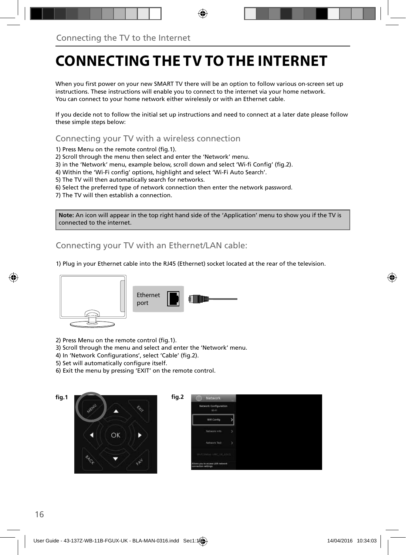# **CONNECTING THE TV TO THE INTERNET**

When you first power on your new SMART TV there will be an option to follow various on-screen set up instructions. These instructions will enable you to connect to the internet via your home network. You can connect to your home network either wirelessly or with an Ethernet cable.

If you decide not to follow the initial set up instructions and need to connect at a later date please follow these simple steps below:

Connecting your TV with a wireless connection

1) Press Menu on the remote control (fig.1).

2) Scroll through the menu then select and enter the 'Network' menu.

3) in the 'Network' menu, example below, scroll down and select 'Wi-fi Config' (fig.2).

4) Within the 'Wi-Fi config' options, highlight and select 'Wi-Fi Auto Search'.

5) The TV will then automatically search for networks.

6) Select the preferred type of network connection then enter the network password.

7) The TV will then establish a connection.

**Note:** An icon will appear in the top right hand side of the 'Application' menu to show you if the TV is connected to the internet.

Connecting your TV with an Ethernet/LAN cable:

1) Plug in your Ethernet cable into the RJ45 (Ethernet) socket located at the rear of the television.



2) Press Menu on the remote control (fig.1).

3) Scroll through the menu and select and enter the 'Network' menu.

- 4) In 'Network Configurations', select 'Cable' (fig.2).
- 5) Set will automatically configure itself.
- 6) Exit the menu by pressing 'EXIT' on the remote control.



| <b>Network Configuration</b><br>Wi-Fi |     |  |  |
|---------------------------------------|-----|--|--|
| Wifi Config                           |     |  |  |
| <b>Technok</b> Info                   | 5   |  |  |
| Network Test                          | - 5 |  |  |
| Well Matus URC, OS ASIA               |     |  |  |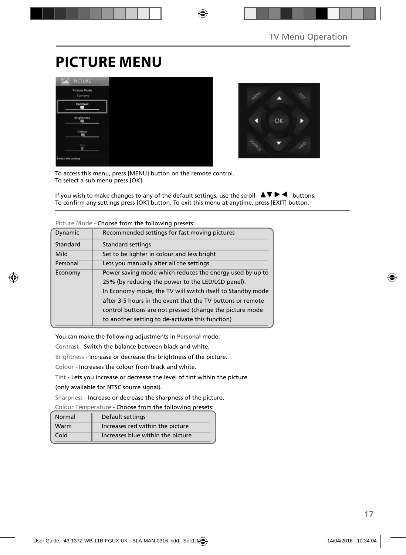# **PICTURE MENU**





To access this menu, press [MENU] button on the remote control. To select a sub menu press [OK]

If you wish to make changes to any of the default settings, use the scroll  $\Box \blacktriangledown \blacktriangleright \blacktriangleleft$  buttons. To confirm any settings press [OK] button. To exit this menu at anytime, press [EXIT] button.

| Dynamic  | Recommended settings for fast moving pictures              |
|----------|------------------------------------------------------------|
| Standard | <b>Standard settings</b>                                   |
| Mild     | Set to be lighter in colour and less bright                |
| Personal | Lets you manually alter all the settings                   |
| Economy  | Power saving mode which reduces the energy used by up to   |
|          | 25% (by reducing the power to the LED/LCD panel).          |
|          | In Economy mode, the TV will switch itself to Standby mode |
|          | after 3-5 hours in the event that the TV buttons or remote |
|          | control buttons are not pressed (change the picture mode   |
|          | to another setting to de-activate this function)           |

**Picture Mode** - Choose from the following presets:

You can make the following adjustments in **Personal** mode:

Contrast - Switch the balance between black and white.

Brightness - Increase or decrease the brightness of the picture.

Colour - Increases the colour from black and white.

Tint - Lets you increase or decrease the level of tint within the picture

(only available for NTSC source signal).

Sharpness - Increase or decrease the sharpness of the picture.

**Colour Temperature** - Choose from the following presets:

| Normal | Default settings                  |
|--------|-----------------------------------|
| Warm   | Increases red within the picture  |
| Cold   | Increases blue within the picture |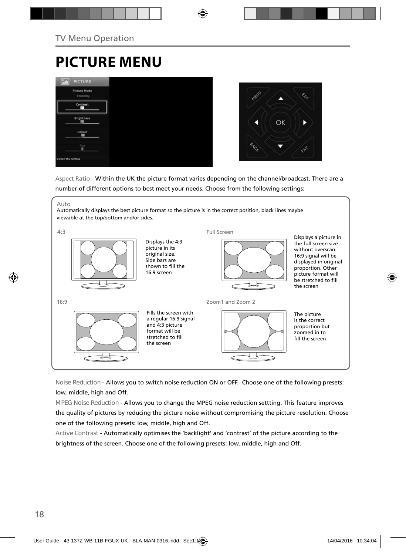# **PICTURE MENU**



Aspect Ratio - Within the UK the picture format varies depending on the channel/broadcast. There are a number of different options to best meet your needs. Choose from the following settings:



**Noise Reduction** - Allows you to switch noise reduction ON or OFF. Choose one of the following presets: low, middle, high and Off.

**MPEG Noise Reduction** - Allows you to change the MPEG noise reduction settting. This feature improves the quality of pictures by reducing the picture noise without compromising the picture resolution. Choose one of the following presets: low, middle, high and Off.

**Active Contrast** - Automatically optimises the 'backlight' and 'contrast' of the picture according to the brightness of the screen. Choose one of the following presets: low, middle, high and Off.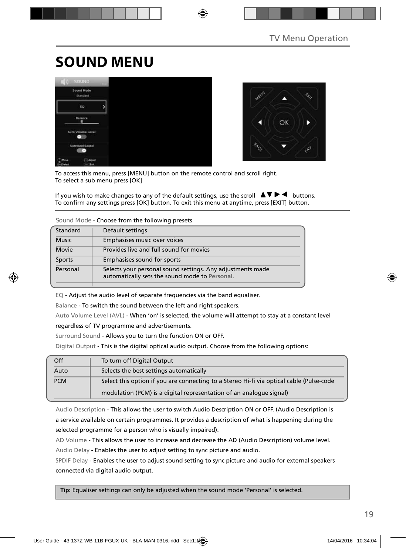# **SOUND MENU**





To access this menu, press [MENU] button on the remote control and scroll right. To select a sub menu press [OK]

If you wish to make changes to any of the default settings, use the scroll  $\Box \blacktriangledown \blacktriangleright \blacktriangleleft$  buttons. To confirm any settings press [OK] button. To exit this menu at anytime, press [EXIT] button.

### **Sound Mode** - Choose from the following presets

| Standard     | Default settings                                                                                             |
|--------------|--------------------------------------------------------------------------------------------------------------|
| <b>Music</b> | Emphasises music over voices                                                                                 |
| Movie        | Provides live and full sound for movies                                                                      |
| Sports       | Emphasises sound for sports                                                                                  |
| Personal     | Selects your personal sound settings. Any adjustments made<br>automatically sets the sound mode to Personal. |

EQ - Adjust the audio level of separate frequencies via the band equaliser.

Balance - To switch the sound between the left and right speakers.

Auto Volume Level (AVL) - When 'on' is selected, the volume will attempt to stay at a constant level regardless of TV programme and advertisements.

Surround Sound - Allows you to turn the function ON or OFF.

Digital Output - This is the digital optical audio output. Choose from the following options:

| Off        | To turn off Digital Output                                                               |
|------------|------------------------------------------------------------------------------------------|
| Auto       | Selects the best settings automatically                                                  |
| <b>PCM</b> | Select this option if you are connecting to a Stereo Hi-fi via optical cable (Pulse-code |
|            | modulation (PCM) is a digital representation of an analogue signal)                      |

Audio Description - This allows the user to switch Audio Description ON or OFF. (Audio Description is a service available on certain programmes. It provides a description of what is happening during the selected programme for a person who is visually impaired).

AD Volume - This allows the user to increase and decrease the AD (Audio Description) volume level. Audio Delay - Enables the user to adjust setting to sync picture and audio.

SPDIF Delay - Enables the user to adjust sound setting to sync picture and audio for external speakers connected via digital audio output.

 **Tip:** Equaliser settings can only be adjusted when the sound mode 'Personal' is selected.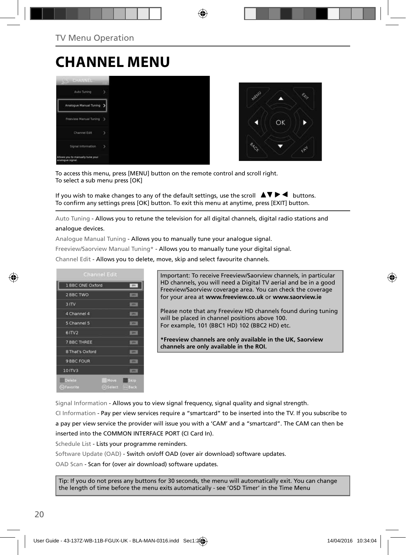# **CHANNEL MENU**





To access this menu, press [MENU] button on the remote control and scroll right. To select a sub menu press [OK]

If you wish to make changes to any of the default settings, use the scroll  $\Delta \nabla \blacktriangleright$   $\blacktriangleleft$  buttons. To confirm any settings press [OK] button. To exit this menu at anytime, press [EXIT] button.

Auto Tuning - Allows you to retune the television for all digital channels, digital radio stations and

### analogue devices.

Analogue Manual Tuning - Allows you to manually tune your analogue signal.

Freeview/Saorview Manual Tuning\* - Allows you to manually tune your digital signal.

Channel Edit - Allows you to delete, move, skip and select favourite channels.

| <b>Channel Edit</b>                               |                     |
|---------------------------------------------------|---------------------|
| 1 BBC ONE Oxford                                  | m.                  |
| 2 BBC TWO                                         | <b>STR</b>          |
| 3 ITV                                             | <b>COL</b>          |
| 4 Channel 4                                       | <b>UFF</b>          |
| 5 Channel 5                                       | <b>SITH</b>         |
| 61TV2                                             | <b>DTV</b>          |
| 7 BBC THREE                                       | <b>STR</b>          |
| 8 That's Oxford                                   | m                   |
| 9 BBC FOUR                                        | m                   |
| 10 ITV3                                           | <b>ESTA</b>         |
| <b>Delete</b><br>Move<br>GFavorite<br>(in) Select | Skip<br><b>Sack</b> |

Important: To receive Freeview/Saorview channels, in particular HD channels, you will need a Digital TV aerial and be in a good Freeview/Saorview coverage area. You can check the coverage for your area at **www.freeview.co.uk** or **www.saorview.ie**

Please note that any Freeview HD channels found during tuning will be placed in channel positions above 100. For example, 101 (BBC1 HD) 102 (BBC2 HD) etc.

**\*Freeview channels are only available in the UK, Saorview channels are only available in the ROI.**

Signal Information - Allows you to view signal frequency, signal quality and signal strength.

CI Information - Pay per view services require a "smartcard" to be inserted into the TV. If you subscribe to a pay per view service the provider will issue you with a 'CAM' and a "smartcard". The CAM can then be inserted into the COMMON INTERFACE PORT (CI Card In).

Schedule List - Lists your programme reminders.

Software Update (OAD) - Switch on/off OAD (over air download) software updates.

OAD Scan - Scan for (over air download) software updates.

Tip: If you do not press any buttons for 30 seconds, the menu will automatically exit. You can change the length of time before the menu exits automatically - see 'OSD Timer' in the Time Menu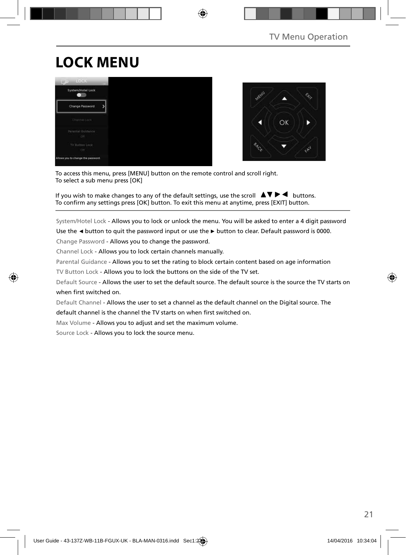# **LOCK MENU**





To access this menu, press [MENU] button on the remote control and scroll right. To select a sub menu press [OK]

If you wish to make changes to any of the default settings, use the scroll  $\Box \blacktriangledown \blacktriangleright \blacktriangleleft$  buttons. To confirm any settings press [OK] button. To exit this menu at anytime, press [EXIT] button.

System/Hotel Lock - Allows you to lock or unlock the menu. You will be asked to enter a 4 digit password

Use the **◄** button to quit the password input or use the **►** button to clear. Default password is 0000.

Change Password - Allows you to change the password.

Channel Lock - Allows you to lock certain channels manually.

Parental Guidance - Allows you to set the rating to block certain content based on age information

TV Button Lock - Allows you to lock the buttons on the side of the TV set.

Default Source - Allows the user to set the default source. The default source is the source the TV starts on when first switched on

Default Channel - Allows the user to set a channel as the default channel on the Digital source. The default channel is the channel the TV starts on when first switched on.

Max Volume - Allows you to adjust and set the maximum volume.

Source Lock - Allows you to lock the source menu.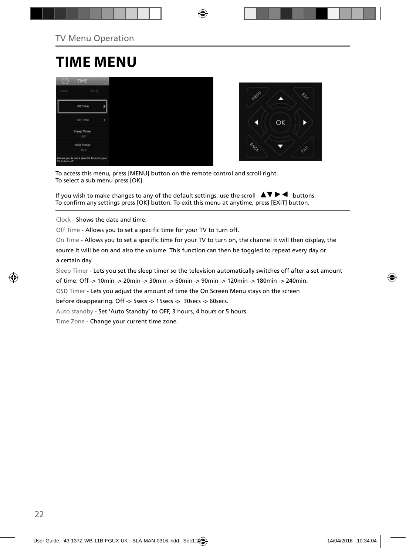# **TIME MENU**





To access this menu, press [MENU] button on the remote control and scroll right. To select a sub menu press [OK]

If you wish to make changes to any of the default settings, use the scroll  $\Box \blacktriangledown \blacktriangleright \blacktriangleleft$  buttons. To confirm any settings press [OK] button. To exit this menu at anytime, press [EXIT] button.

Clock - Shows the date and time.

Off Time - Allows you to set a specific time for your TV to turn off.

On Time - Allows you to set a specific time for your TV to turn on, the channel it will then display, the

source it will be on and also the volume. This function can then be toggled to repeat every day or a certain day.

Sleep Timer - Lets you set the sleep timer so the television automatically switches off after a set amount

of time. Off -> 10min -> 20min -> 30min -> 60min -> 90min -> 120min -> 180min -> 240min.

OSD Timer - Lets you adjust the amount of time the On Screen Menu stays on the screen

before disappearing. Off -> 5secs -> 15secs -> 30secs -> 60secs.

Auto standby - Set 'Auto Standby' to OFF, 3 hours, 4 hours or 5 hours.

Time Zone - Change your current time zone.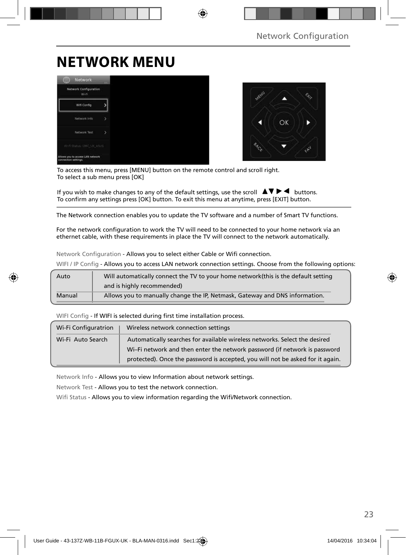# **NETWORK MENU**





To access this menu, press [MENU] button on the remote control and scroll right. To select a sub menu press [OK]

If you wish to make changes to any of the default settings, use the scroll  $\Box \Box \blacktriangleright \blacktriangleleft$  buttons. To confirm any settings press [OK] button. To exit this menu at anytime, press [EXIT] button.

The Network connection enables you to update the TV software and a number of Smart TV functions.

For the network configuration to work the TV will need to be connected to your home network via an ethernet cable, with these requirements in place the TV will connect to the network automatically.

Network Configuration - Allows you to select either Cable or Wifi connection.

WIFI / IP Config - Allows you to access LAN network connection settings. Choose from the following options:

| Auto   | Will automatically connect the TV to your home network (this is the default setting |
|--------|-------------------------------------------------------------------------------------|
|        | and is highly recommended)                                                          |
| Manual | Allows you to manually change the IP, Netmask, Gateway and DNS information.         |

WIFI Config - If WIFI is selected during first time installation process.

| Wi-Fi Configuratrion | Wireless network connection settings                                           |
|----------------------|--------------------------------------------------------------------------------|
| Wi-Fi Auto Search    | Automatically searches for available wireless networks. Select the desired     |
|                      | Wi-Fi network and then enter the network password (if network is password      |
|                      | protected). Once the password is accepted, you will not be asked for it again. |

Network Info - Allows you to view Information about network settings.

Network Test - Allows you to test the network connection.

Wifi Status - Allows you to view information regarding the Wifi/Network connection.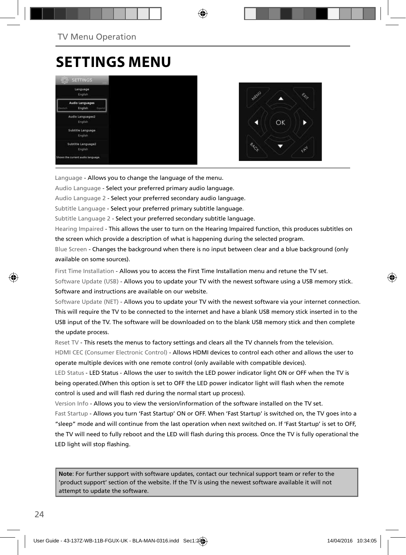# **SETTINGS MENU**





Language - Allows you to change the language of the menu.

Audio Language - Select your preferred primary audio language.

Audio Language 2 - Select your preferred secondary audio language.

Subtitle Language - Select your preferred primary subtitle language.

Subtitle Language 2 - Select your preferred secondary subtitle language.

Hearing Impaired - This allows the user to turn on the Hearing Impaired function, this produces subtitles on the screen which provide a description of what is happening during the selected program.

Blue Screen - Changes the background when there is no input between clear and a blue background (only available on some sources).

First Time Installation - Allows you to access the First Time Installation menu and retune the TV set. Software Update (USB) - Allows you to update your TV with the newest software using a USB memory stick. Software and instructions are available on our website.

Software Update (NET) - Allows you to update your TV with the newest software via your internet connection. This will require the TV to be connected to the internet and have a blank USB memory stick inserted in to the USB input of the TV. The software will be downloaded on to the blank USB memory stick and then complete the update process.

Reset TV - This resets the menus to factory settings and clears all the TV channels from the television. HDMI CEC (Consumer Electronic Control) - Allows HDMI devices to control each other and allows the user to operate multiple devices with one remote control (only available with compatible devices).

LED Status - LED Status - Allows the user to switch the LED power indicator light ON or OFF when the TV is being operated.(When this option is set to OFF the LED power indicator light will flash when the remote control is used and will flash red during the normal start up process).

Version Info - Allows you to view the version/information of the software installed on the TV set.

Fast Startup - Allows you turn 'Fast Startup' ON or OFF. When 'Fast Startup' is switched on, the TV goes into a "sleep" mode and will continue from the last operation when next switched on. If 'Fast Startup' is set to OFF, the TV will need to fully reboot and the LED will flash during this process. Once the TV is fully operational the LED light will stop flashing.

**Note**: For further support with software updates, contact our technical support team or refer to the 'product support' section of the website. If the TV is using the newest software available it will not attempt to update the software.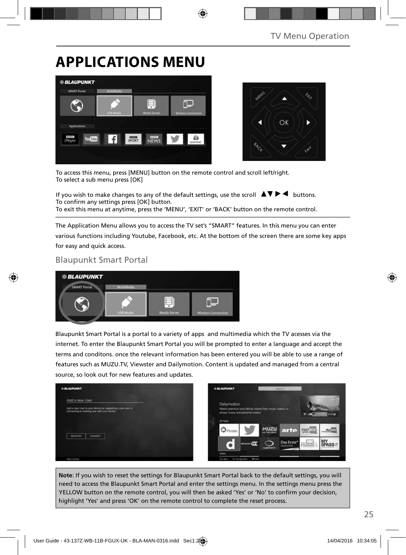# **APPLICATIONS MENU**





To access this menu, press [MENU] button on the remote control and scroll left/right. To select a sub menu press [OK]

If you wish to make changes to any of the default settings, use the scroll  $\Box \blacktriangledown \blacktriangleright \blacktriangleleft$  buttons. To confirm any settings press [OK] button. To exit this menu at anytime, press the 'MENU', 'EXIT' or 'BACK' button on the remote control.

The Application Menu allows you to access the TV set's "SMART" features. In this menu you can enter various functions including Youtube, Facebook, etc. At the bottom of the screen there are some key apps for easy and quick access.

### Blaupunkt Smart Portal



Blaupunkt Smart Portal is a portal to a variety of apps and multimedia which the TV acesses via the internet. To enter the Blaupunkt Smart Portal you will be prompted to enter a language and accept the terms and conditons. once the relevant information has been entered you will be able to use a range of features such as MUZU.TV, Viewster and Dailymotion. Content is updated and managed from a central source, so look out for new features and updates.



**Note**: If you wish to reset the settings for Blaupunkt Smart Portal back to the default settings, you will need to access the Blaupunkt Smart Portal and enter the settings menu. In the settings menu press the YELLOW button on the remote control, you will then be asked 'Yes' or 'No' to confirm your decision, highlight 'Yes' and press 'OK' on the remote control to complete the reset process.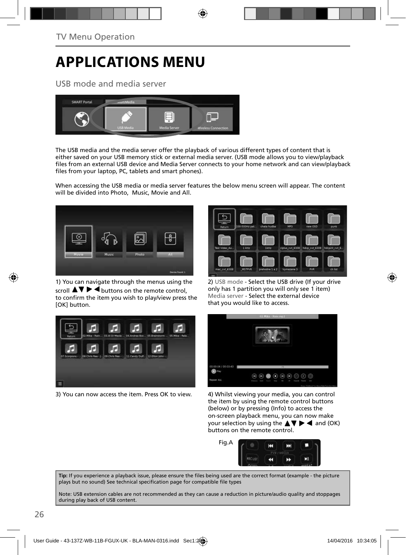# **APPLICATIONS MENU**

USB mode and media server



The USB media and the media server offer the playback of various different types of content that is either saved on your USB memory stick or external media server. (USB mode allows you to view/playback files from an external USB device and Media Server connects to your home network and can view/playback files from your laptop, PC, tablets and smart phones).

When accessing the USB media or media server features the below menu screen will appear. The content will be divided into Photo, Music, Movie and All.



1) You can navigate through the menus using the scroll  $\triangle \blacktriangledown \blacktriangleright \blacktriangleleft$  buttons on the remote control, to confirm the item you wish to play/view press the [OK] button.



3) You can now access the item. Press OK to view. 4) Whilst viewing your media, you can control



2) USB mode - Select the USB drive (If your drive only has 1 partition you will only see 1 item) Media server - Select the external device that you would like to access.



the item by using the remote control buttons (below) or by pressing (Info) to access the on-screen playback menu, you can now make your selection by using the  $\blacktriangle \blacktriangledown \blacktriangleright \blacktriangleleft$  and (OK) buttons on the remote control.



Tip: If you experience a playback issue, please ensure the files being used are the correct format (example - the picture plays but no sound) See technical specification page for compatible file types

Note: USB extension cables are not recommended as they can cause a reduction in picture/audio quality and stoppages during play back of USB content.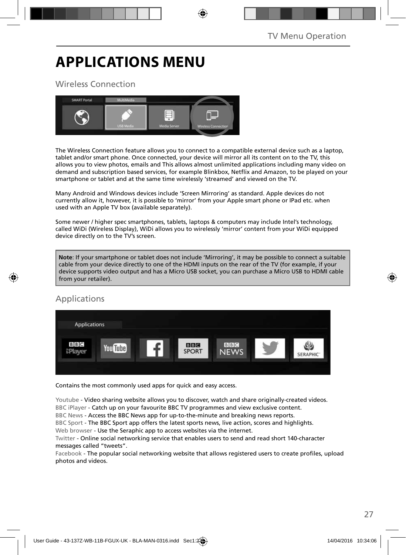# **APPLICATIONS MENU**

## Wireless Connection



The Wireless Connection feature allows you to connect to a compatible external device such as a laptop, tablet and/or smart phone. Once connected, your device will mirror all its content on to the TV, this allows you to view photos, emails and This allows almost unlimited applications including many video on demand and subscription based services, for example Blinkbox, Netflix and Amazon, to be played on your smartphone or tablet and at the same time wirelessly 'streamed' and viewed on the TV.

Many Android and Windows devices include 'Screen Mirroring' as standard. Apple devices do not currently allow it, however, it is possible to 'mirror' from your Apple smart phone or IPad etc. when used with an Apple TV box (available separately).

Some newer / higher spec smartphones, tablets, laptops & computers may include Intel's technology, called WiDi (Wireless Display), WiDi allows you to wirelessly 'mirror' content from your WiDi equipped device directly on to the TV's screen.

**Note**: If your smartphone or tablet does not include 'Mirroring', it may be possible to connect a suitable cable from your device directly to one of the HDMI inputs on the rear of the TV (for example, if your device supports video output and has a Micro USB socket, you can purchase a Micro USB to HDMI cable from your retailer).

## Applications



Contains the most commonly used apps for quick and easy access.

Youtube - Video sharing website allows you to discover, watch and share originally-created videos. BBC iPlayer - Catch up on your favourite BBC TV programmes and view exclusive content.

BBC News - Access the BBC News app for up-to-the-minute and breaking news reports.

BBC Sport - The BBC Sport app offers the latest sports news, live action, scores and highlights.

Web browser - Use the Seraphic app to access websites via the internet.

Twitter - Online social networking service that enables users to send and read short 140-character messages called "tweets".

Facebook - The popular social networking website that allows registered users to create profiles, upload photos and videos.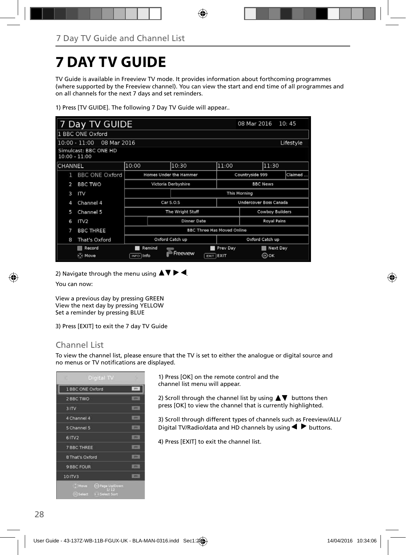# **7 DAY TV GUIDE**

TV Guide is available in Freeview TV mode. It provides information about forthcoming programmes (where supported by the Freeview channel). You can view the start and end time of all programmes and on all channels for the next 7 days and set reminders.

1) Press [TV GUIDE]. The following 7 Day TV Guide will appear..

|                 | 7 Day TV GUIDE<br>08 Mar 2016<br>10:45 |                                    |                                        |                        |  |                            |                 |       |           |
|-----------------|----------------------------------------|------------------------------------|----------------------------------------|------------------------|--|----------------------------|-----------------|-------|-----------|
|                 | 1 BBC ONE Oxford                       |                                    |                                        |                        |  |                            |                 |       |           |
|                 | 08 Mar 2016<br>$10:00 - 11:00$         |                                    |                                        |                        |  |                            |                 |       | Lifestyle |
| $10:00 - 11:00$ | Simulcast: BBC ONE HD                  |                                    |                                        |                        |  |                            |                 |       |           |
| CHANNEL         |                                        | 10:00                              |                                        | 10:30                  |  | 11:00                      |                 | 11:30 |           |
| 1               | <b>BBC ONE Oxford</b>                  |                                    |                                        | Homes Under the Hammer |  | Claimed<br>Countryside 999 |                 |       |           |
| $\overline{2}$  | <b>BBC TWO</b>                         |                                    | Victoria Derbyshire<br><b>BBC News</b> |                        |  |                            |                 |       |           |
| 3               | ITV                                    |                                    | <b>This Morning</b>                    |                        |  |                            |                 |       |           |
| 4               | Channel 4                              |                                    |                                        | Car S.O.S              |  | Undercover Boss Canada     |                 |       |           |
| 5               | Channel 5                              |                                    | The Wright Stuff                       |                        |  |                            | Cowboy Builders |       |           |
| 6               | IV2                                    | Dinner Date                        |                                        |                        |  | <b>Royal Pains</b>         |                 |       |           |
| 7               | <b>BBC THREE</b>                       | <b>BBC Three Has Moved Online</b>  |                                        |                        |  |                            |                 |       |           |
| 8               | That's Oxford                          | Oxford Catch up<br>Oxford Catch up |                                        |                        |  |                            |                 |       |           |
|                 | Record                                 | Remind                             |                                        | Prev Day               |  | Next Day                   |                 |       |           |
|                 | ⊙ Move                                 | INFO Info                          |                                        | Freeview               |  | $EXIT$ EXIT                |                 | ⊚ок   |           |

2) Navigate through the menu using  $\blacktriangle \blacktriangledown \blacktriangleright \blacktriangleleft$ .

You can now:

View a previous day by pressing GREEN View the next day by pressing YELLOW Set a reminder by pressing BLUE

3) Press [EXIT] to exit the 7 day TV Guide

## Channel List

To view the channel list, please ensure that the TV is set to either the analogue or digital source and no menus or TV notifications are displayed.

|                    | Digital TV                                                    |              |
|--------------------|---------------------------------------------------------------|--------------|
|                    | 1 BBC ONE Oxford                                              | -pry         |
| 2 BBC TWO          |                                                               | <b>STA</b>   |
| 3 <sub>ITV</sub>   |                                                               | 2741         |
| 4 Channel 4        |                                                               | <b>ATV</b>   |
| 5 Channel 5        |                                                               | <b>RPV</b>   |
| <b>61TV2</b>       |                                                               | <b>DEA</b>   |
| <b>7 BBC THREE</b> |                                                               | <b>STATE</b> |
| 8 That's Oxford    |                                                               | <b>RTV</b>   |
| 9 BBC FOUR         |                                                               | $(T-T)$      |
| 10 ITV3            |                                                               | err.         |
|                    | Move @ Page Up/Down<br>191123<br><b>@Select ++Select Sort</b> |              |

1) Press [OK] on the remote control and the channel list menu will appear.

2) Scroll through the channel list by using  $\blacktriangle \blacktriangledown$  buttons then press [OK] to view the channel that is currently highlighted.

3) Scroll through different types of channels such as Freeview/ALL/ Digital TV/Radio/data and HD channels by using  $\blacklozenge \blacktriangleright$  buttons.

4) Press [EXIT] to exit the channel list.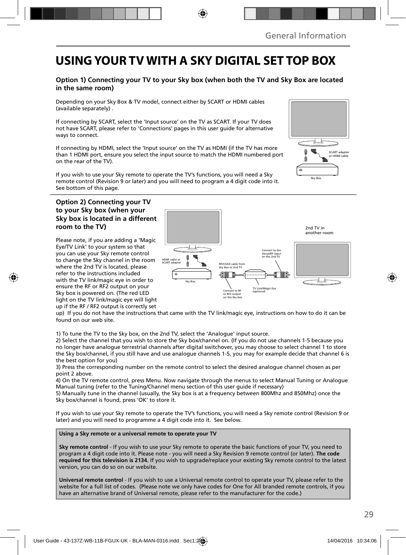# **USING YOUR TV WITH A SKY DIGITAL SET TOP BOX**

### **Option 1) Connecting your TV to your Sky box (when both the TV and Sky Box are located in the same room)**

Depending on your Sky Box & TV model, connect either by SCART or HDMI cables (available separately) .

If connecting by SCART, select the 'Input source' on the TV as SCART. If your TV does not have SCART, please refer to 'Connections' pages in this user guide for alternative ways to connect.

If connecting by HDMI, select the 'Input source' on the TV as HDMI (if the TV has more than 1 HDMI port, ensure you select the input source to match the HDMI numbered port on the rear of the TV).

If you wish to use your Sky remote to operate the TV's functions, you will need a Sky remote control (Revision 9 or later) and you will need to program a 4 digit code into it. See bottom of this page.

### **Option 2) Connecting your TV to your Sky box (when your Sky box is located in a different room to the TV)**

Please note, if you are adding a 'Magic Eye/TV Link' to your system so that you can use your Sky remote control to change the Sky channel in the room where the 2nd TV is located, please refer to the instructions included with the TV link/magic eye in order to ensure the RF or RF2 output on your Sky box is powered on. (The red LED light on the TV link/magic eye will light up if the RF / RF2 output is correctly set



up) If you do not have the instructions that came with the TV link/magic eye, instructions on how to do it can be found on our web site.

1) To tune the TV to the Sky box, on the 2nd TV, select the 'Analogue' input source.

2) Select the channel that you wish to store the Sky box/channel on. (If you do not use channels 1-5 because you no longer have analogue terrestrial channels after digital switchover, you may choose to select channel 1 to store the Sky box/channel, if you still have and use analogue channels 1-5, you may for example decide that channel 6 is the best option for you)

3) Press the corresponding number on the remote control to select the desired analogue channel chosen as per point 2 above.

4) On the TV remote control, press Menu. Now navigate through the menus to select Manual Tuning or Analogue Manual tuning (refer to the Tuning/Channel menu section of this user guide if necessary)

5) Manually tune in the channel (usually, the Sky box is at a frequency between 800Mhz and 850Mhz) once the Sky box/channel is found, press 'OK' to store it.

If you wish to use your Sky remote to operate the TV's functions, you will need a Sky remote control (Revision 9 or later) and you will need to programme a 4 digit code into it. See below.

### **Using a Sky remote or a universal remote to operate your TV**

**Sky remote control** - If you wish to use your Sky remote to operate the basic functions of your TV, you need to program a 4 digit code into it. Please note - you will need a Sky Revision 9 remote control (or later). **The code required for this television is 2134.** If you wish to upgrade/replace your existing Sky remote control to the latest version, you can do so on our website.

**Universal remote control** - If you wish to use a Universal remote control to operate your TV, please refer to the website for a full list of codes. (Please note we only have codes for One for All branded remote controls, if you have an alternative brand of Universal remote, please refer to the manufacturer for the code.)

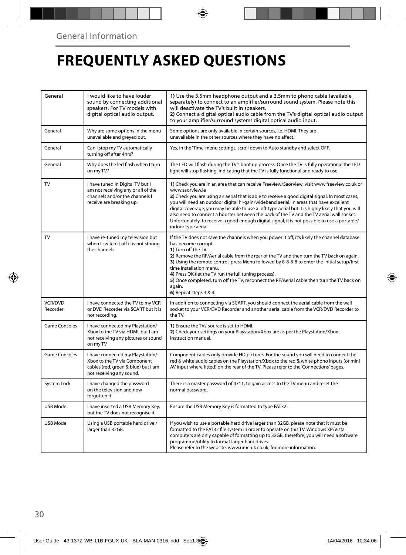# **FREQUENTLY ASKED QUESTIONS**

| General                    | I would like to have louder<br>sound by connecting additional<br>speakers. For TV models with<br>digital optical audio output.       | 1) Use the 3.5mm headphone output and a 3.5mm to phono cable (available<br>separately) to connect to an amplifier/surround sound system. Please note this<br>will deactivate the TV's built in speakers.<br>2) Connect a digital optical audio cable from the TV's digital optical audio output<br>to your amplifier/surround systems digital optical audio input.                                                                                                                                                                                                                                                                  |  |
|----------------------------|--------------------------------------------------------------------------------------------------------------------------------------|-------------------------------------------------------------------------------------------------------------------------------------------------------------------------------------------------------------------------------------------------------------------------------------------------------------------------------------------------------------------------------------------------------------------------------------------------------------------------------------------------------------------------------------------------------------------------------------------------------------------------------------|--|
| General                    | Why are some options in the menu<br>unavailable and greyed out.                                                                      | Some options are only available in certain sources, i.e. HDMI. They are<br>unavailable in the other sources where they have no affect.                                                                                                                                                                                                                                                                                                                                                                                                                                                                                              |  |
| General                    | Can I stop my TV automatically<br>turning off after 4hrs?                                                                            | Yes, in the 'Time' menu settings, scroll down to Auto standby and select OFF.                                                                                                                                                                                                                                                                                                                                                                                                                                                                                                                                                       |  |
| General                    | Why does the led flash when I turn<br>on my TV?                                                                                      | The LED will flash during the TV's boot up process. Once the TV is fully operational the LED<br>light will stop flashing, indicating that the TV is fully functional and ready to use.                                                                                                                                                                                                                                                                                                                                                                                                                                              |  |
| TV                         | I have tuned in Digital TV but I<br>am not receiving any or all of the<br>channels and/or the channels I<br>receive are breaking up. | 1) Check you are in an area that can receive Freeview/Saorview, visit www.freeview.co.uk or<br>www.saorview.ie<br>2) Check you are using an aerial that is able to receive a good digital signal. In most cases,<br>you will need an outdoor digital hi-gain/wideband aerial. In areas that have excellent<br>digital coverage, you may be able to use a loft type aerial but it is highly likely that you will<br>also need to connect a booster between the back of the TV and the TV aerial wall socket.<br>Unfortunately, to receive a good enough digital signal, it is not possible to use a portable/<br>indoor type aerial. |  |
| TV                         | I have re-tuned my television but<br>when I switch it off it is not storing<br>the channels.                                         | If the TV does not save the channels when you power it off, it's likely the channel database<br>has become corrupt.<br>1) Turn off the TV.<br>2) Remove the RF/Aerial cable from the rear of the TV and then turn the TV back on again.<br>3) Using the remote control, press Menu followed by 8-8-8-8 to enter the initial setup/first<br>time installation menu.<br>4) Press OK (let the TV run the full tuning process).<br>5) Once completed, turn off the TV, reconnect the RF/Aerial cable then turn the TV back on<br>again.<br>6) Repeat steps 3 & 4.                                                                       |  |
| <b>VCR/DVD</b><br>Recorder | I have connected the TV to my VCR<br>or DVD Recorder via SCART but it is<br>not recordina.                                           | In addition to connecting via SCART, you should connect the aerial cable from the wall<br>socket to your VCR/DVD Recorder and another aerial cable from the VCR/DVD Recorder to<br>the TV.                                                                                                                                                                                                                                                                                                                                                                                                                                          |  |
| <b>Game Consoles</b>       | I have connected my Playstation/<br>Xbox to the TV via HDMI, but I am<br>not receiving any pictures or sound<br>on my TV             | 1) Ensure the TVs' source is set to HDMI.<br>2) Check your settings on your Playstation/Xbox are as per the Playstation/Xbox<br>instruction manual.                                                                                                                                                                                                                                                                                                                                                                                                                                                                                 |  |
| <b>Game Consoles</b>       | I have connected my Playstation/<br>Xbox to the TV via Component<br>cables (red, green & blue) but I am<br>not receiving any sound.  | Component cables only provide HD pictures. For the sound you will need to connect the<br>red & white audio cables on the Playstation/Xbox to the red & white phono inputs (or mini<br>AV input where fitted) on the rear of the TV. Please refer to the 'Connections' pages.                                                                                                                                                                                                                                                                                                                                                        |  |
| System Lock                | I have changed the password<br>on the television and now<br>forgotten it.                                                            | There is a master password of 4711, to gain access to the TV menu and reset the<br>normal password.                                                                                                                                                                                                                                                                                                                                                                                                                                                                                                                                 |  |
| USB Mode                   | I have inserted a USB Memory Key,<br>but the TV does not recognise it.                                                               | Ensure the USB Memory Key is formatted to type FAT32.                                                                                                                                                                                                                                                                                                                                                                                                                                                                                                                                                                               |  |
| USB Mode                   | Using a USB portable hard drive /<br>larger than 32GB.                                                                               | If you wish to use a portable hard drive larger than 32GB, please note that it must be<br>formatted to the FAT32 file system in order to operate on this TV. Windows XP/Vista<br>computers are only capable of formatting up to 32GB, therefore, you will need a software<br>programme/utility to format larger hard drives.<br>Please refer to the website, www.umc-uk.co.uk, for more information.                                                                                                                                                                                                                                |  |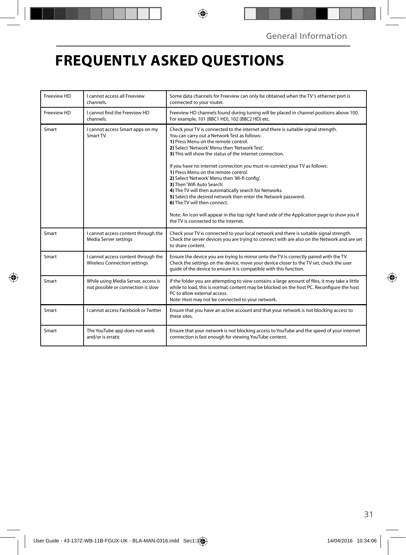# **FREQUENTLY ASKED QUESTIONS**

| Freeview HD | I cannot access all Freeview<br>channels.                                  | Some data channels for Freeview can only be obtained when the TV's ethernet port is<br>connected to your router.                                                                                                                                                                                                                                                                                                                                                                                                                                                                                                                                                                                                                                                                                |  |
|-------------|----------------------------------------------------------------------------|-------------------------------------------------------------------------------------------------------------------------------------------------------------------------------------------------------------------------------------------------------------------------------------------------------------------------------------------------------------------------------------------------------------------------------------------------------------------------------------------------------------------------------------------------------------------------------------------------------------------------------------------------------------------------------------------------------------------------------------------------------------------------------------------------|--|
| Freeview HD | I cannot find the Freeview HD<br>channels.                                 | Freeview HD channels found during tuning will be placed in channel positions above 100.<br>For example, 101 (BBC1 HD), 102 (BBC2 HD) etc.                                                                                                                                                                                                                                                                                                                                                                                                                                                                                                                                                                                                                                                       |  |
| Smart       | I cannot access Smart apps on my<br>Smart TV.                              | Check your TV is connected to the internet and there is suitable signal strength.<br>You can carry out a Network Test as follows:<br>1) Press Menu on the remote control.<br>2) Select 'Network' Menu then 'Network Test'.<br>3) This will show the status of the internet connection.<br>If you have no internet connection you must re-connect your TV as follows:<br>1) Press Menu on the remote control.<br>2) Select 'Network' Menu then 'Wi-fi config'.<br>3) Then 'Wifi Auto Search'.<br>4) The TV will then automatically search for Networks.<br>5) Select the desired network then enter the Network password.<br>6) The TV will then connect.<br>Note: An icon will appear in the top right hand side of the Application page to show you if<br>the TV is connected to the internet. |  |
| Smart       | I cannot access content through the<br>Media Server settings               | Check your TV is connected to your local network and there is suitable signal strength.<br>Check the server devices you are trying to connect with are also on the Network and are set<br>to share content.                                                                                                                                                                                                                                                                                                                                                                                                                                                                                                                                                                                     |  |
| Smart       | I cannot access content through the<br><b>Wireless Connection settings</b> | Ensure the device you are trying to mirror onto the TV is correctly paired with the TV.<br>Check the settings on the device, move your device closer to the TV set, check the user<br>guide of the device to ensure it is compatible with this function.                                                                                                                                                                                                                                                                                                                                                                                                                                                                                                                                        |  |
| Smart       | While using Media Server, access is<br>not possible or connection is slow  | If the folder you are attempting to view contains a large amount of files, it may take a little<br>while to load, this is normal, content may be blocked on the host PC. Reconfigure the host<br>PC to allow external access.<br>Note: Host may not be connected to your network.                                                                                                                                                                                                                                                                                                                                                                                                                                                                                                               |  |
| Smart       | I cannot access Facebook or Twitter                                        | Ensure that you have an active account and that your network is not blocking access to<br>these sites.                                                                                                                                                                                                                                                                                                                                                                                                                                                                                                                                                                                                                                                                                          |  |
| Smart       | The YouTube app does not work<br>and/or is erratic                         | Ensure that your network is not blocking access to YouTube and the speed of your internet<br>connection is fast enough for viewing YouTube content.                                                                                                                                                                                                                                                                                                                                                                                                                                                                                                                                                                                                                                             |  |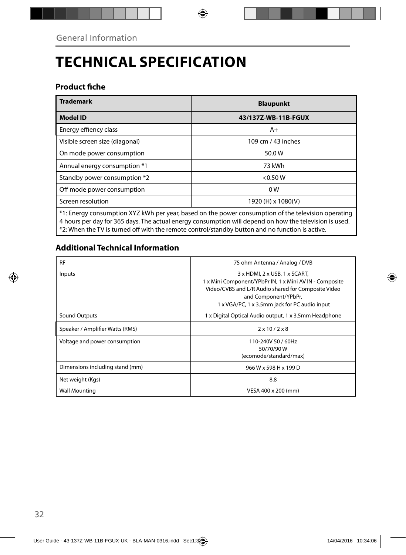# **TECHNICAL SPECIFICATION**

## **Product fiche**

| <b>Trademark</b>                                                                                    | <b>Blaupunkt</b>    |  |  |  |
|-----------------------------------------------------------------------------------------------------|---------------------|--|--|--|
| <b>Model ID</b>                                                                                     | 43/137Z-WB-11B-FGUX |  |  |  |
| Energy effiency class                                                                               | $A+$                |  |  |  |
| Visible screen size (diagonal)                                                                      | 109 cm / 43 inches  |  |  |  |
| On mode power consumption                                                                           | 50.0W               |  |  |  |
| Annual energy consumption *1                                                                        | 73 kWh              |  |  |  |
| Standby power consumption *2                                                                        | $<$ 0.50 W          |  |  |  |
| Off mode power consumption                                                                          | 0W                  |  |  |  |
| Screen resolution                                                                                   | 1920 (H) x 1080(V)  |  |  |  |
| *1: Energy consumption XYZ kWh per year, based on the power consumption of the television operating |                     |  |  |  |

4 hours per day for 365 days. The actual energy consumption will depend on how the television is used. \*2: When the TV is turned off with the remote control/standby button and no function is active.

## **Additional Technical Information**

| <b>RF</b>                       | 75 ohm Antenna / Analog / DVB                                                                                                                                                                                            |  |  |
|---------------------------------|--------------------------------------------------------------------------------------------------------------------------------------------------------------------------------------------------------------------------|--|--|
| Inputs                          | 3 x HDMI, 2 x USB, 1 x SCART,<br>1 x Mini Component/YPbPr IN, 1 x Mini AV IN - Composite<br>Video/CVBS and L/R Audio shared for Composite Video<br>and Component/YPbPr,<br>1 x VGA/PC, 1 x 3.5mm jack for PC audio input |  |  |
| Sound Outputs                   | 1 x Digital Optical Audio output, 1 x 3.5mm Headphone                                                                                                                                                                    |  |  |
| Speaker / Amplifier Watts (RMS) | $2 \times 10 / 2 \times 8$                                                                                                                                                                                               |  |  |
| Voltage and power consumption   | 110-240V 50 / 60Hz<br>50/70/90W<br>(ecomode/standard/max)                                                                                                                                                                |  |  |
| Dimensions including stand (mm) | 966 W x 598 H x 199 D                                                                                                                                                                                                    |  |  |
| Net weight (Kgs)                | 8.8                                                                                                                                                                                                                      |  |  |
| <b>Wall Mounting</b>            | VESA 400 x 200 (mm)                                                                                                                                                                                                      |  |  |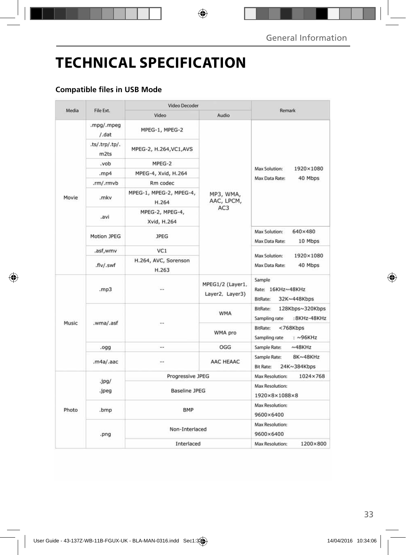# **TECHNICAL SPECIFICATION**

## **Compatible files in USB Mode**

| Media | File Ext.                          | <b>Video Decoder</b>             |                                            |                                                                       |
|-------|------------------------------------|----------------------------------|--------------------------------------------|-----------------------------------------------------------------------|
|       |                                    | Video                            | Audio                                      | Remark                                                                |
|       | .mpg/.mpeg<br>$/$ .dat             | MPEG-1, MPEG-2                   | MP3, WMA,<br>AAC, LPCM,<br>AC <sub>3</sub> | Max Solution:<br>1920×1080<br>Max Data Rate:<br>40 Mbps               |
|       | .ts/.trp/.tp/.<br>m <sub>2ts</sub> | MPEG-2, H.264, VC1, AVS          |                                            |                                                                       |
|       | .vob                               | MPEG-2                           |                                            |                                                                       |
|       | .mp4                               | MPEG-4, Xvid, H.264              |                                            |                                                                       |
|       | .rm/.rmvb                          | Rm codec                         |                                            |                                                                       |
| Movie | .mkv                               | MPEG-1, MPEG-2, MPEG-4,<br>H.264 |                                            |                                                                       |
|       | ivs.                               | MPEG-2, MPEG-4,<br>Xvid, H.264   |                                            |                                                                       |
|       | Motion JPEG                        | <b>JPEG</b>                      |                                            | Max Solution:<br>640×480<br>Max Data Rate:<br>10 Mbps                 |
|       | .asf,wmv                           | VC1                              |                                            | Max Solution:<br>1920×1080<br>Max Data Rate:<br>40 Mbps               |
|       | .flv/.swf                          | H.264, AVC, Sorenson<br>H.263    |                                            |                                                                       |
| Music | .mp3                               |                                  | MPEG1/2 (Layer1,<br>Layer2, Layer3)        | Sample<br>Rate: 16KHz~48KHz<br>BitRate:<br>32K~448Kbps                |
|       | .wma/.asf                          |                                  | <b>WMA</b>                                 | BitRate:<br>128Kbps~320Kbps<br>Sampling rate<br>:8KHz-48KHz           |
|       |                                    |                                  | WMA pro                                    | $<$ 768 $K$ bps<br><b>BitRate:</b><br>$: \sim$ 96KHz<br>Sampling rate |
|       | .ogg                               | $\sim$                           | OGG                                        | Sample Rate:<br>$~\sim$ 48KHz                                         |
|       | .m4a/.aac                          |                                  | AAC HEAAC                                  | 8K~48KHz<br>Sample Rate:<br><b>Bit Rate:</b><br>24K~384Kbps           |
| Photo | .jpg/<br>.jpeg                     | Progressive JPEG                 |                                            | Max Resolution:<br>1024×768                                           |
|       |                                    | <b>Baseline JPEG</b>             |                                            | Max Resolution:<br>$1920\times8\times1088\times8$                     |
|       | .bmp                               | <b>BMP</b>                       |                                            | <b>Max Resolution:</b><br>9600×6400                                   |
|       | .png                               | Non-Interlaced                   |                                            | Max Resolution:<br>9600×6400                                          |
|       |                                    | Interlaced                       |                                            | 1200×800<br><b>Max Resolution:</b>                                    |